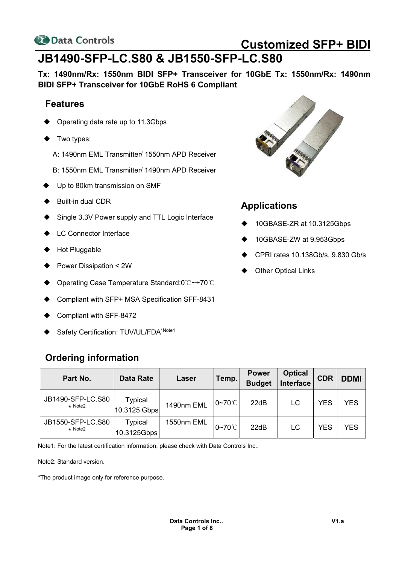

## **JB1490-SFP-LC.S80 & JB1550-SFP-LC.S80**

**Tx: 1490nm/Rx: 1550nm BIDI SFP+ Transceiver for 10GbE Tx: 1550nm/Rx: 1490nm BIDI SFP+ Transceiver for 10GbE RoHS 6 Compliant** 

#### **Features**

- Operating data rate up to 11.3Gbps
- Two types:
	- A: 1490nm EML Transmitter/ 1550nm APD Receiver
	- B: 1550nm EML Transmitter/ 1490nm APD Receiver
- ◆ Up to 80km transmission on SMF
- ◆ Built-in dual CDR
- Single 3.3V Power supply and TTL Logic Interface
- ▶ LC Connector Interface
- ◆ Hot Pluggable
- Power Dissipation < 2W
- Operating Case Temperature Standard:0℃~+70℃
- ♦ Compliant with SFP+ MSA Specification SFF-8431
- Compliant with SFF-8472
- Safety Certification: TUV/UL/FDA\*Note1

## **Ordering information**



### **Applications**

- 10GBASE-ZR at 10.3125Gbps
- 10GBASE-ZW at 9.953Gbps
- CPRI rates 10.138Gb/s, 9.830 Gb/s
- Other Optical Links

| Part No.                           | <b>Data Rate</b>        | Laser      | Temp.       | <b>Power</b><br><b>Budget</b> | <b>Optical</b><br>Interface | <b>CDR</b> | <b>DDMI</b> |
|------------------------------------|-------------------------|------------|-------------|-------------------------------|-----------------------------|------------|-------------|
| JB1490-SFP-LC.S80<br>$\star$ Note2 | Typical<br>10.3125 Gbps | 1490nm EML | $0 - 70$ °C | 22dB                          | LC                          | YES        | YES         |
| JB1550-SFP-LC.S80<br>$\star$ Note2 | Typical<br>10.3125Gbps  | 1550nm EML | 0~70℃       | 22dB                          | LC                          | YES        | YES         |

Note1: For the latest certification information, please check with Data Controls Inc..

Note2: Standard version.

\*The product image only for reference purpose.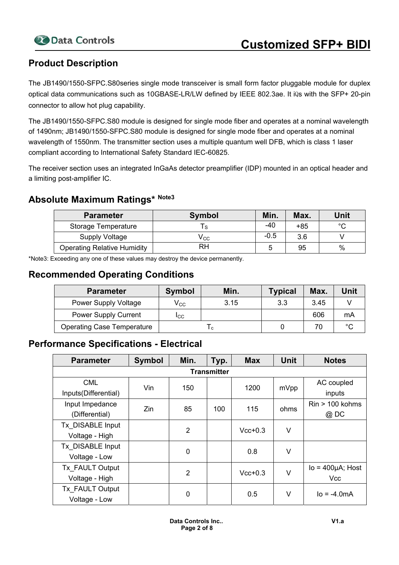#### **Product Description**

The JB1490/1550-SFPC.S80series single mode transceiver is small form factor pluggable module for duplex optical data communications such as 10GBASE-LR/LW defined by IEEE 802.3ae. It iQs with the SFP+ 20-pin connector to allow hot plug capability.

The JB1490/1550-SFPC.S80 module is designed for single mode fiber and operates at a nominal wavelength of 1490nm; JB1490/1550-SFPC.S80 module is designed for single mode fiber and operates at a nominal wavelength of 1550nm. The transmitter section uses a multiple quantum well DFB, which is class 1 laser compliant according to International Safety Standard IEC-60825.

The receiver section uses an integrated InGaAs detector preamplifier (IDP) mounted in an optical header and a limiting post-amplifier IC.

## **Absolute Maximum Ratings\* Note3**

| <b>Parameter</b>                   | <b>Symbol</b> | Min.   | Max.  | Unit   |
|------------------------------------|---------------|--------|-------|--------|
| Storage Temperature                |               | -40    | $+85$ | $\sim$ |
| Supply Voltage                     | Vcc           | $-0.5$ | 3.6   |        |
| <b>Operating Relative Humidity</b> | RH            |        | 95    | $\%$   |

\*Note3: Exceeding any one of these values may destroy the device permanently.

#### **Recommended Operating Conditions**

| <b>Parameter</b>                  | <b>Symbol</b>     | Min. | <b>Typical</b> | Max. | Unit   |
|-----------------------------------|-------------------|------|----------------|------|--------|
| <b>Power Supply Voltage</b>       | $\mathsf{V_{CC}}$ | 3.15 | 3.3            | 3.45 |        |
| <b>Power Supply Current</b>       | Icc               |      |                | 606  | mA     |
| <b>Operating Case Temperature</b> |                   | Ιc   |                | 70   | $\sim$ |

#### **Performance Specifications - Electrical**

| <b>Parameter</b>     | <b>Symbol</b> | Min.           | Typ.               | <b>Max</b> | <b>Unit</b> | <b>Notes</b>            |
|----------------------|---------------|----------------|--------------------|------------|-------------|-------------------------|
|                      |               |                | <b>Transmitter</b> |            |             |                         |
| <b>CML</b>           | Vin           | 150            |                    | 1200       | mVpp        | AC coupled              |
| Inputs(Differential) |               |                |                    |            |             | inputs                  |
| Input Impedance      | Zin           | 85             | 100                | 115        | ohms        | $Rin > 100$ kohms       |
| (Differential)       |               |                |                    |            |             | @DC                     |
| Tx DISABLE Input     |               | $\overline{2}$ |                    | $Vcc+0.3$  | V           |                         |
| Voltage - High       |               |                |                    |            |             |                         |
| Tx DISABLE Input     |               | 0              |                    | 0.8        | V           |                         |
| Voltage - Low        |               |                |                    |            |             |                         |
| Tx FAULT Output      |               | $\overline{2}$ |                    | $Vcc+0.3$  | V           | $Io = 400 \mu A$ ; Host |
| Voltage - High       |               |                |                    |            |             | <b>Vcc</b>              |
| Tx FAULT Output      |               |                |                    |            | V           |                         |
| Voltage - Low        |               | 0              |                    | 0.5        |             | $lo = -4.0mA$           |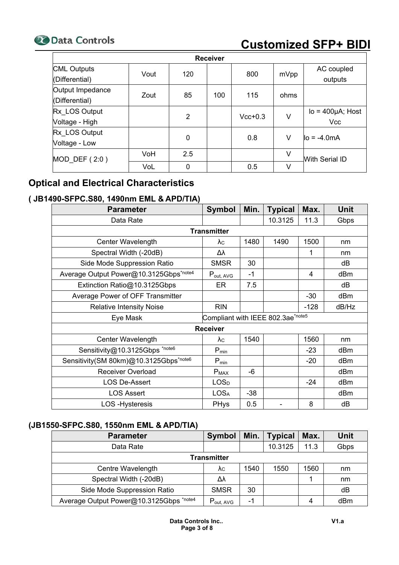

# **CO Data Controls** Customized SFP+ BIDI

| <b>Receiver</b>    |      |                |     |           |      |                         |  |  |  |  |  |  |  |  |  |  |            |
|--------------------|------|----------------|-----|-----------|------|-------------------------|--|--|--|--|--|--|--|--|--|--|------------|
| <b>CML Outputs</b> | Vout | 120            |     | 800       |      | AC coupled              |  |  |  |  |  |  |  |  |  |  |            |
| (Differential)     |      |                |     |           | mVpp | outputs                 |  |  |  |  |  |  |  |  |  |  |            |
| Output Impedance   | Zout |                | 100 | 115       | ohms |                         |  |  |  |  |  |  |  |  |  |  |            |
| (Differential)     |      | 85             |     |           |      |                         |  |  |  |  |  |  |  |  |  |  |            |
| Rx LOS Output      |      | $\overline{2}$ |     | $Vcc+0.3$ | V    | $Io = 400 \mu A$ ; Host |  |  |  |  |  |  |  |  |  |  |            |
| Voltage - High     |      |                |     |           |      |                         |  |  |  |  |  |  |  |  |  |  | <b>Vcc</b> |
| Rx LOS Output      |      | 0              |     | 0.8       | V    | $I_0 = -4.0mA$          |  |  |  |  |  |  |  |  |  |  |            |
| Voltage - Low      |      |                |     |           |      |                         |  |  |  |  |  |  |  |  |  |  |            |
| $MOD$ DEF $(2:0)$  | VoH  | 2.5            |     |           | V    | With Serial ID          |  |  |  |  |  |  |  |  |  |  |            |
|                    | VoL  | 0              |     | 0.5       | V    |                         |  |  |  |  |  |  |  |  |  |  |            |

#### **Optical and Electrical Characteristics**

#### **( JB1490-SFPC.S80, 1490nm EML & APD/TIA)**

| <b>Parameter</b>                       | <b>Symbol</b>                     | Min.  | <b>Typical</b> | Max.   | Unit  |
|----------------------------------------|-----------------------------------|-------|----------------|--------|-------|
| Data Rate                              |                                   |       | 10.3125        | 11.3   | Gbps  |
|                                        | <b>Transmitter</b>                |       |                |        |       |
| Center Wavelength                      | $\lambda c$                       | 1480  | 1490           | 1500   | nm    |
| Spectral Width (-20dB)                 | Δλ                                |       |                | 1      | nm    |
| Side Mode Suppression Ratio            | <b>SMSR</b>                       | 30    |                |        | dB    |
| Average Output Power@10.3125Gbps*note4 | $P_{\text{out, AVG}}$             | $-1$  |                | 4      | dBm   |
| Extinction Ratio@10.3125Gbps           | ER.                               | 7.5   |                |        | dB    |
| Average Power of OFF Transmitter       |                                   |       |                | $-30$  | dBm   |
| <b>Relative Intensity Noise</b>        | <b>RIN</b>                        |       |                | $-128$ | dB/Hz |
| Eye Mask                               | Compliant with IEEE 802.3ae*note5 |       |                |        |       |
|                                        | <b>Receiver</b>                   |       |                |        |       |
| Center Wavelength                      | λc                                | 1540  |                | 1560   | nm    |
| Sensitivity@10.3125Gbps *note6         | $P_{min}$                         |       |                | $-23$  | dBm   |
| Sensitivity(SM 80km)@10.3125Gbps*note6 | $P_{min}$                         |       |                | $-20$  | dBm   |
| Receiver Overload                      | $P_{MAX}$                         | $-6$  |                |        | dBm   |
| <b>LOS De-Assert</b>                   | <b>LOSD</b>                       |       |                | $-24$  | dBm   |
| <b>LOS Assert</b>                      | <b>LOSA</b>                       | $-38$ |                |        | dBm   |
| <b>LOS-Hysteresis</b>                  | PHys                              | 0.5   |                | 8      | dB    |

#### **(JB1550-SFPC.S80, 1550nm EML & APD/TIA)**

| <b>Parameter</b>                        | <b>Symbol</b>         | Min. | <b>Typical</b> | Max. | <b>Unit</b> |
|-----------------------------------------|-----------------------|------|----------------|------|-------------|
| Data Rate                               |                       |      | 10.3125        | 11.3 | Gbps        |
| <b>Transmitter</b>                      |                       |      |                |      |             |
| Centre Wavelength                       | λc                    | 1540 | 1550           | 1560 | nm          |
| Spectral Width (-20dB)                  | Δλ                    |      |                |      | nm          |
| Side Mode Suppression Ratio             | <b>SMSR</b>           | 30   |                |      | dB          |
| Average Output Power@10.3125Gbps *note4 | $P_{\text{out, AVG}}$ | - 1  |                | 4    | dBm         |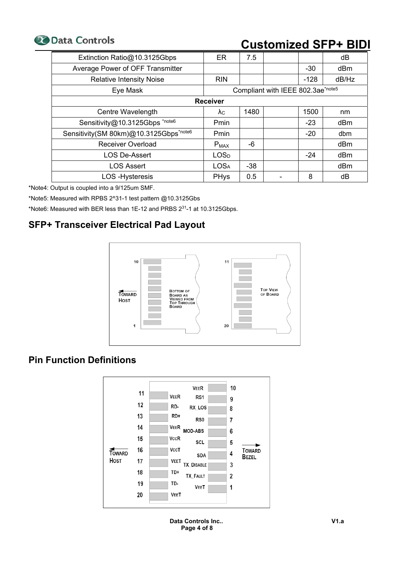

# **CO** Data Controls **Customized SFP+ BIDI**

| Extinction Ratio@10.3125Gbps           | ER                          | 7.5   |                                   |        | dB    |
|----------------------------------------|-----------------------------|-------|-----------------------------------|--------|-------|
| Average Power of OFF Transmitter       |                             |       |                                   | $-30$  | dBm   |
| <b>Relative Intensity Noise</b>        | <b>RIN</b>                  |       |                                   | $-128$ | dB/Hz |
| Eye Mask                               |                             |       | Compliant with IEEE 802.3ae*note5 |        |       |
|                                        | <b>Receiver</b>             |       |                                   |        |       |
| Centre Wavelength                      | $\lambda c$                 | 1480  |                                   | 1500   | nm    |
| Sensitivity@10.3125Gbps *note6         | Pmin                        |       |                                   | $-23$  | dBm   |
| Sensitivity(SM 80km)@10.3125Gbps*note6 | Pmin                        |       |                                   | $-20$  | dbm   |
| <b>Receiver Overload</b>               | $\mathsf{P}_{\mathsf{MAX}}$ | -6    |                                   |        | dBm   |
| LOS De-Assert                          | LOS <sub>D</sub>            |       |                                   | $-24$  | dBm   |
| <b>LOS Assert</b>                      | <b>LOSA</b>                 | $-38$ |                                   |        | dBm   |
| <b>LOS-Hysteresis</b>                  | <b>PHys</b>                 | 0.5   |                                   | 8      | dB    |

\*Note4: Output is coupled into a 9/125um SMF.

\*Note5: Measured with RPBS 2^31-1 test pattern @10.3125Gbs

\*Note6: Measured with BER less than 1E-12 and PRBS 231-1 at 10.3125Gbps.

#### **SFP+ Transceiver Electrical Pad Layout**



## **Pin Function Definitions**

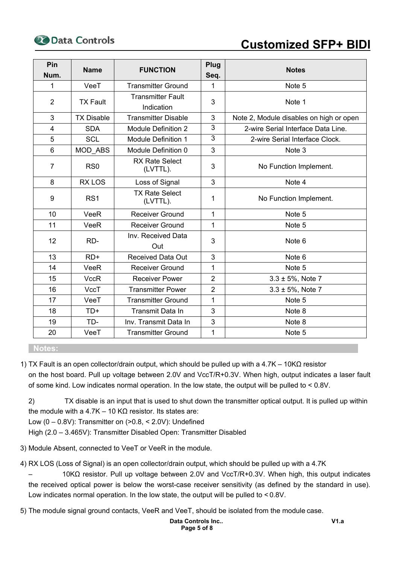

# **Customized SFP+ BIDI**

| Pin<br>Num.     | <b>Name</b>       | <b>FUNCTION</b>                   | Plug           | <b>Notes</b>                            |
|-----------------|-------------------|-----------------------------------|----------------|-----------------------------------------|
|                 | VeeT              | <b>Transmitter Ground</b>         | Seq.           | Note 5                                  |
| 1               |                   | <b>Transmitter Fault</b>          | 1              |                                         |
| $\overline{2}$  | <b>TX Fault</b>   | Indication                        | 3              | Note 1                                  |
| 3               | <b>TX Disable</b> | <b>Transmitter Disable</b>        | 3              | Note 2, Module disables on high or open |
| 4               | <b>SDA</b>        | <b>Module Definition 2</b>        | 3              | 2-wire Serial Interface Data Line.      |
| 5               | <b>SCL</b>        | <b>Module Definition 1</b>        | 3              | 2-wire Serial Interface Clock.          |
| $6\phantom{1}6$ | MOD ABS           | Module Definition 0               | 3              | Note 3                                  |
| $\overline{7}$  | RS <sub>0</sub>   | <b>RX Rate Select</b><br>(LVTTL). | 3              | No Function Implement.                  |
| 8               | <b>RXLOS</b>      | Loss of Signal                    | 3              | Note 4                                  |
| 9               | RS <sub>1</sub>   | <b>TX Rate Select</b><br>(LVTTL). | $\mathbf 1$    | No Function Implement.                  |
| 10              | VeeR              | <b>Receiver Ground</b>            | $\mathbf{1}$   | Note 5                                  |
| 11              | VeeR              | <b>Receiver Ground</b>            | $\mathbf{1}$   | Note 5                                  |
| 12              | RD-               | Inv. Received Data                | 3              | Note 6                                  |
|                 |                   | Out                               |                |                                         |
| 13              | $RD+$             | <b>Received Data Out</b>          | 3              | Note <sub>6</sub>                       |
| 14              | VeeR              | <b>Receiver Ground</b>            | $\mathbf{1}$   | Note 5                                  |
| 15              | <b>VccR</b>       | <b>Receiver Power</b>             | $\overline{2}$ | $3.3 \pm 5\%$ , Note 7                  |
| 16              | VccT              | <b>Transmitter Power</b>          | $\overline{2}$ | $3.3 \pm 5\%$ , Note 7                  |
| 17              | VeeT              | <b>Transmitter Ground</b>         | 1              | Note 5                                  |
| 18              | $TD+$             | <b>Transmit Data In</b>           | 3              | Note 8                                  |
| 19              | TD-               | Inv. Transmit Data In             | 3              | Note 8                                  |
| 20              | VeeT              | <b>Transmitter Ground</b>         | $\mathbf 1$    | Note 5                                  |

 **Notes:** 

- 1) TX Fault is an open collector/drain output, which should be pulled up with a 4.7K 10KΩ resistor on the host board. Pull up voltage between 2.0V and VccT/R+0.3V. When high, output indicates a laser fault of some kind. Low indicates normal operation. In the low state, the output will be pulled to < 0.8V.
	- 2) TX disable is an input that is used to shut down the transmitter optical output. It is pulled up within the module with a 4.7K – 10 KΩ resistor. Its states are:

Low (0 – 0.8V): Transmitter on (>0.8, < 2.0V): Undefined

High (2.0 – 3.465V): Transmitter Disabled Open: Transmitter Disabled

- 3) Module Absent, connected to VeeT or VeeR in the module.
- 4) RX LOS (Loss of Signal) is an open collector/drain output, which should be pulled up with a 4.7K
	- 10KΩ resistor. Pull up voltage between 2.0V and VccT/R+0.3V. When high, this output indicates the received optical power is below the worst-case receiver sensitivity (as defined by the standard in use). Low indicates normal operation. In the low state, the output will be pulled to < 0.8V.
- 5) The module signal ground contacts, VeeR and VeeT, should be isolated from the module case.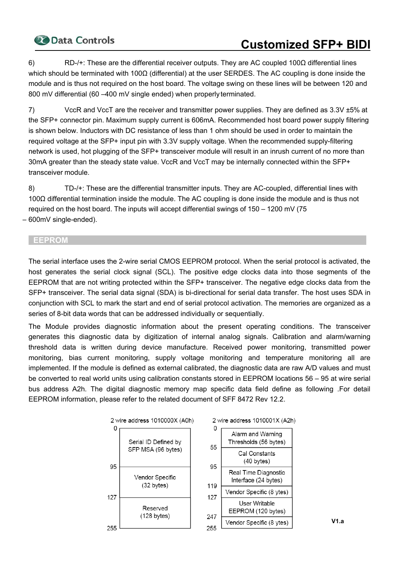6) RD-/+: These are the differential receiver outputs. They are AC coupled 100Ω differential lines which should be terminated with 100Ω (differential) at the user SERDES. The AC coupling is done inside the module and is thus not required on the host board. The voltage swing on these lines will be between 120 and 800 mV differential (60 –400 mV single ended) when properly terminated.

7) VccR and VccT are the receiver and transmitter power supplies. They are defined as 3.3V ±5% at the SFP+ connector pin. Maximum supply current is 606mA. Recommended host board power supply filtering is shown below. Inductors with DC resistance of less than 1 ohm should be used in order to maintain the required voltage at the SFP+ input pin with 3.3V supply voltage. When the recommended supply-filtering network is used, hot plugging of the SFP+ transceiver module will result in an inrush current of no more than 30mA greater than the steady state value. VccR and VccT may be internally connected within the SFP+ transceiver module.

8) TD-/+: These are the differential transmitter inputs. They are AC-coupled, differential lines with 100Ω differential termination inside the module. The AC coupling is done inside the module and is thus not required on the host board. The inputs will accept differential swings of 150 – 1200 mV (75 – 600mV single-ended).

#### **EEPROM**

The serial interface uses the 2-wire serial CMOS EEPROM protocol. When the serial protocol is activated, the host generates the serial clock signal (SCL). The positive edge clocks data into those segments of the EEPROM that are not writing protected within the SFP+ transceiver. The negative edge clocks data from the SFP+ transceiver. The serial data signal (SDA) is bi-directional for serial data transfer. The host uses SDA in conjunction with SCL to mark the start and end of serial protocol activation. The memories are organized as a series of 8-bit data words that can be addressed individually or sequentially.

The Module provides diagnostic information about the present operating conditions. The transceiver generates this diagnostic data by digitization of internal analog signals. Calibration and alarm/warning threshold data is written during device manufacture. Received power monitoring, transmitted power monitoring, bias current monitoring, supply voltage monitoring and temperature monitoring all are implemented. If the module is defined as external calibrated, the diagnostic data are raw A/D values and must be converted to real world units using calibration constants stored in EEPROM locations 56 – 95 at wire serial bus address A2h. The digital diagnostic memory map specific data field define as following .For detail EEPROM information, please refer to the related document of SFF 8472 Rev 12.2.

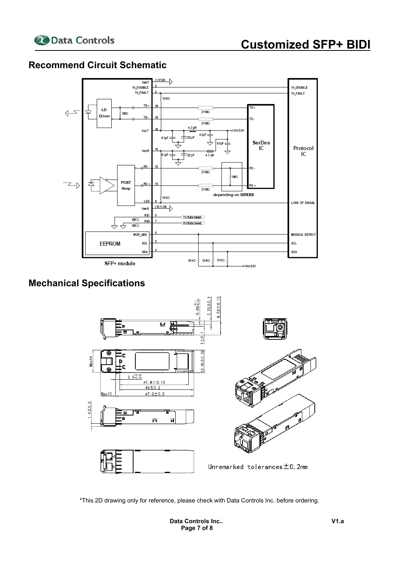#### **Recommend Circuit Schematic**



#### **Mechanical Specifications**



\*This 2D drawing only for reference, please check with Data Controls Inc. before ordering.

**Data Controls Inc.. Page 7 of 8**